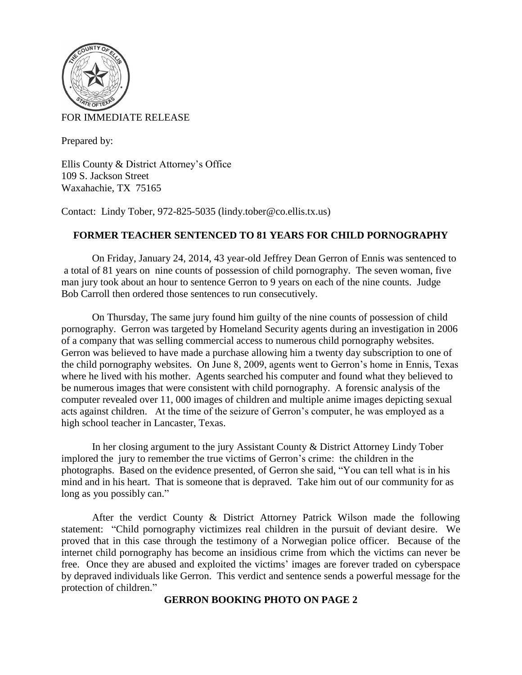

## FOR IMMEDIATE RELEASE

Prepared by:

Ellis County & District Attorney's Office 109 S. Jackson Street Waxahachie, TX 75165

Contact: Lindy Tober, 972-825-5035 (lindy.tober@co.ellis.tx.us)

## **FORMER TEACHER SENTENCED TO 81 YEARS FOR CHILD PORNOGRAPHY**

On Friday, January 24, 2014, 43 year-old Jeffrey Dean Gerron of Ennis was sentenced to a total of 81 years on nine counts of possession of child pornography. The seven woman, five man jury took about an hour to sentence Gerron to 9 years on each of the nine counts. Judge Bob Carroll then ordered those sentences to run consecutively.

On Thursday, The same jury found him guilty of the nine counts of possession of child pornography. Gerron was targeted by Homeland Security agents during an investigation in 2006 of a company that was selling commercial access to numerous child pornography websites. Gerron was believed to have made a purchase allowing him a twenty day subscription to one of the child pornography websites. On June 8, 2009, agents went to Gerron's home in Ennis, Texas where he lived with his mother. Agents searched his computer and found what they believed to be numerous images that were consistent with child pornography. A forensic analysis of the computer revealed over 11, 000 images of children and multiple anime images depicting sexual acts against children. At the time of the seizure of Gerron's computer, he was employed as a high school teacher in Lancaster, Texas.

In her closing argument to the jury Assistant County & District Attorney Lindy Tober implored the jury to remember the true victims of Gerron's crime: the children in the photographs. Based on the evidence presented, of Gerron she said, "You can tell what is in his mind and in his heart. That is someone that is depraved. Take him out of our community for as long as you possibly can."

After the verdict County & District Attorney Patrick Wilson made the following statement: "Child pornography victimizes real children in the pursuit of deviant desire. We proved that in this case through the testimony of a Norwegian police officer. Because of the internet child pornography has become an insidious crime from which the victims can never be free. Once they are abused and exploited the victims' images are forever traded on cyberspace by depraved individuals like Gerron. This verdict and sentence sends a powerful message for the protection of children."

## **GERRON BOOKING PHOTO ON PAGE 2**